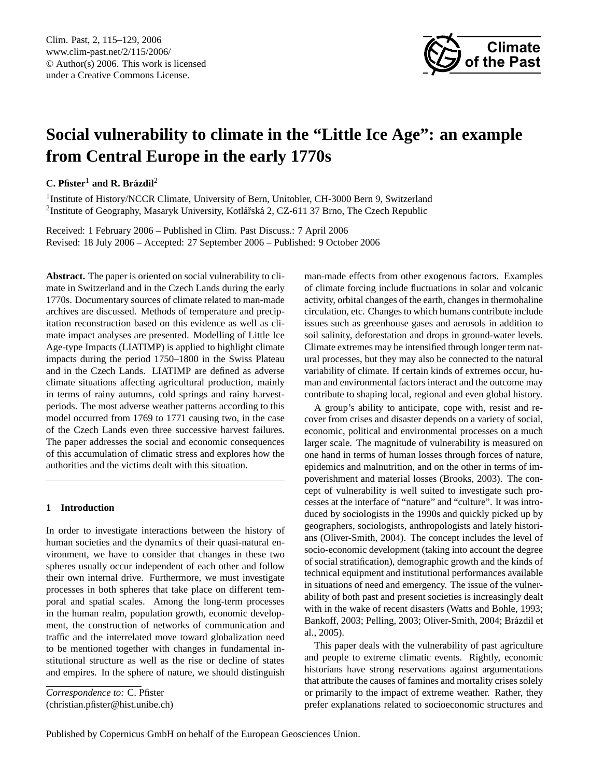

# **Social vulnerability to climate in the "Little Ice Age": an example from Central Europe in the early 1770s**

# **C. Pfister**<sup>1</sup> **and R. Brazdil ´** 2

<sup>1</sup> Institute of History/NCCR Climate, University of Bern, Unitobler, CH-3000 Bern 9, Switzerland <sup>2</sup>Institute of Geography, Masaryk University, Kotlářská 2, CZ-611 37 Brno, The Czech Republic

Received: 1 February 2006 – Published in Clim. Past Discuss.: 7 April 2006 Revised: 18 July 2006 – Accepted: 27 September 2006 – Published: 9 October 2006

**Abstract.** The paper is oriented on social vulnerability to climate in Switzerland and in the Czech Lands during the early 1770s. Documentary sources of climate related to man-made archives are discussed. Methods of temperature and precipitation reconstruction based on this evidence as well as climate impact analyses are presented. Modelling of Little Ice Age-type Impacts (LIATIMP) is applied to highlight climate impacts during the period 1750–1800 in the Swiss Plateau and in the Czech Lands. LIATIMP are defined as adverse climate situations affecting agricultural production, mainly in terms of rainy autumns, cold springs and rainy harvestperiods. The most adverse weather patterns according to this model occurred from 1769 to 1771 causing two, in the case of the Czech Lands even three successive harvest failures. The paper addresses the social and economic consequences of this accumulation of climatic stress and explores how the authorities and the victims dealt with this situation.

## **1 Introduction**

In order to investigate interactions between the history of human societies and the dynamics of their quasi-natural environment, we have to consider that changes in these two spheres usually occur independent of each other and follow their own internal drive. Furthermore, we must investigate processes in both spheres that take place on different temporal and spatial scales. Among the long-term processes in the human realm, population growth, economic development, the construction of networks of communication and traffic and the interrelated move toward globalization need to be mentioned together with changes in fundamental institutional structure as well as the rise or decline of states and empires. In the sphere of nature, we should distinguish

<span id="page-0-0"></span>*Correspondence to:* C. Pfister (christian.pfister@hist.unibe.ch) man-made effects from other exogenous factors. Examples of climate forcing include fluctuations in solar and volcanic activity, orbital changes of the earth, changes in thermohaline circulation, etc. Changes to which humans contribute include issues such as greenhouse gases and aerosols in addition to soil salinity, deforestation and drops in ground-water levels. Climate extremes may be intensified through longer term natural processes, but they may also be connected to the natural variability of climate. If certain kinds of extremes occur, human and environmental factors interact and the outcome may contribute to shaping local, regional and even global history.

A group's ability to anticipate, cope with, resist and recover from crises and disaster depends on a variety of social, economic, political and environmental processes on a much larger scale. The magnitude of vulnerability is measured on one hand in terms of human losses through forces of nature, epidemics and malnutrition, and on the other in terms of impoverishment and material losses (Brooks, 2003). The concept of vulnerability is well suited to investigate such processes at the interface of "nature" and "culture". It was introduced by sociologists in the 1990s and quickly picked up by geographers, sociologists, anthropologists and lately historians (Oliver-Smith, 2004). The concept includes the level of socio-economic development (taking into account the degree of social stratification), demographic growth and the kinds of technical equipment and institutional performances available in situations of need and emergency. The issue of the vulnerability of both past and present societies is increasingly dealt with in the wake of recent disasters (Watts and Bohle, 1993; Bankoff, 2003; Pelling, 2003; Oliver-Smith, 2004; Brázdil et al., 2005).

This paper deals with the vulnerability of past agriculture and people to extreme climatic events. Rightly, economic historians have strong reservations against argumentations that attribute the causes of famines and mortality crises solely or primarily to the impact of extreme weather. Rather, they prefer explanations related to socioeconomic structures and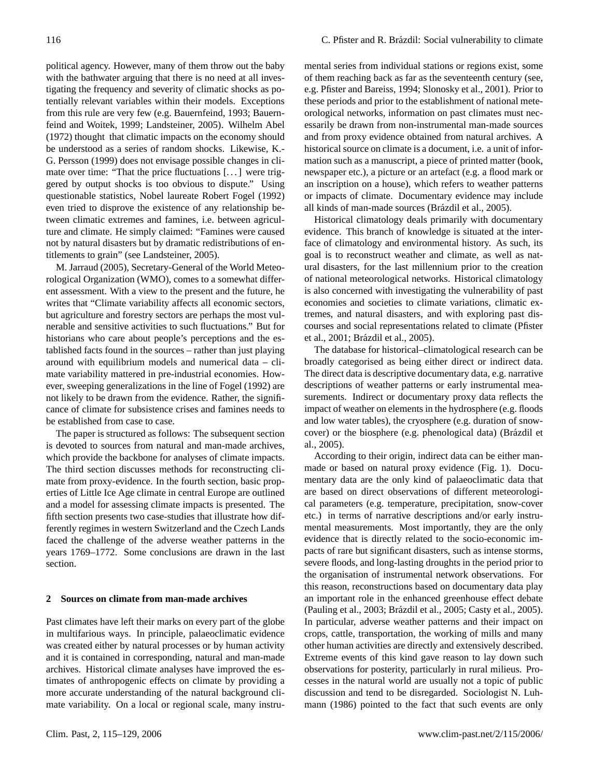political agency. However, many of them throw out the baby with the bathwater arguing that there is no need at all investigating the frequency and severity of climatic shocks as potentially relevant variables within their models. Exceptions from this rule are very few (e.g. Bauernfeind, 1993; Bauernfeind and Woitek, 1999; Landsteiner, 2005). Wilhelm Abel (1972) thought that climatic impacts on the economy should be understood as a series of random shocks. Likewise, K.- G. Persson (1999) does not envisage possible changes in climate over time: "That the price fluctuations [. . . ] were triggered by output shocks is too obvious to dispute." Using questionable statistics, Nobel laureate Robert Fogel (1992) even tried to disprove the existence of any relationship between climatic extremes and famines, i.e. between agriculture and climate. He simply claimed: "Famines were caused not by natural disasters but by dramatic redistributions of entitlements to grain" (see Landsteiner, 2005).

M. Jarraud (2005), Secretary-General of the World Meteorological Organization (WMO), comes to a somewhat different assessment. With a view to the present and the future, he writes that "Climate variability affects all economic sectors, but agriculture and forestry sectors are perhaps the most vulnerable and sensitive activities to such fluctuations." But for historians who care about people's perceptions and the established facts found in the sources – rather than just playing around with equilibrium models and numerical data – climate variability mattered in pre-industrial economies. However, sweeping generalizations in the line of Fogel (1992) are not likely to be drawn from the evidence. Rather, the significance of climate for subsistence crises and famines needs to be established from case to case.

The paper is structured as follows: The subsequent section is devoted to sources from natural and man-made archives, which provide the backbone for analyses of climate impacts. The third section discusses methods for reconstructing climate from proxy-evidence. In the fourth section, basic properties of Little Ice Age climate in central Europe are outlined and a model for assessing climate impacts is presented. The fifth section presents two case-studies that illustrate how differently regimes in western Switzerland and the Czech Lands faced the challenge of the adverse weather patterns in the years 1769–1772. Some conclusions are drawn in the last section.

#### **2 Sources on climate from man-made archives**

Past climates have left their marks on every part of the globe in multifarious ways. In principle, palaeoclimatic evidence was created either by natural processes or by human activity and it is contained in corresponding, natural and man-made archives. Historical climate analyses have improved the estimates of anthropogenic effects on climate by providing a more accurate understanding of the natural background climate variability. On a local or regional scale, many instrumental series from individual stations or regions exist, some of them reaching back as far as the seventeenth century (see, e.g. Pfister and Bareiss, 1994; Slonosky et al., 2001). Prior to these periods and prior to the establishment of national meteorological networks, information on past climates must necessarily be drawn from non-instrumental man-made sources and from proxy evidence obtained from natural archives. A historical source on climate is a document, i.e. a unit of information such as a manuscript, a piece of printed matter (book, newspaper etc.), a picture or an artefact (e.g. a flood mark or an inscription on a house), which refers to weather patterns or impacts of climate. Documentary evidence may include all kinds of man-made sources (Brázdil et al., 2005).

Historical climatology deals primarily with documentary evidence. This branch of knowledge is situated at the interface of climatology and environmental history. As such, its goal is to reconstruct weather and climate, as well as natural disasters, for the last millennium prior to the creation of national meteorological networks. Historical climatology is also concerned with investigating the vulnerability of past economies and societies to climate variations, climatic extremes, and natural disasters, and with exploring past discourses and social representations related to climate (Pfister et al., 2001; Brázdil et al., 2005).

The database for historical–climatological research can be broadly categorised as being either direct or indirect data. The direct data is descriptive documentary data, e.g. narrative descriptions of weather patterns or early instrumental measurements. Indirect or documentary proxy data reflects the impact of weather on elements in the hydrosphere (e.g. floods and low water tables), the cryosphere (e.g. duration of snowcover) or the biosphere (e.g. phenological data) (Brázdil et al., 2005).

According to their origin, indirect data can be either manmade or based on natural proxy evidence (Fig. 1). Documentary data are the only kind of palaeoclimatic data that are based on direct observations of different meteorological parameters (e.g. temperature, precipitation, snow-cover etc.) in terms of narrative descriptions and/or early instrumental measurements. Most importantly, they are the only evidence that is directly related to the socio-economic impacts of rare but significant disasters, such as intense storms, severe floods, and long-lasting droughts in the period prior to the organisation of instrumental network observations. For this reason, reconstructions based on documentary data play an important role in the enhanced greenhouse effect debate (Pauling et al., 2003; Brázdil et al., 2005; Casty et al., 2005). In particular, adverse weather patterns and their impact on crops, cattle, transportation, the working of mills and many other human activities are directly and extensively described. Extreme events of this kind gave reason to lay down such observations for posterity, particularly in rural milieus. Processes in the natural world are usually not a topic of public discussion and tend to be disregarded. Sociologist N. Luhmann (1986) pointed to the fact that such events are only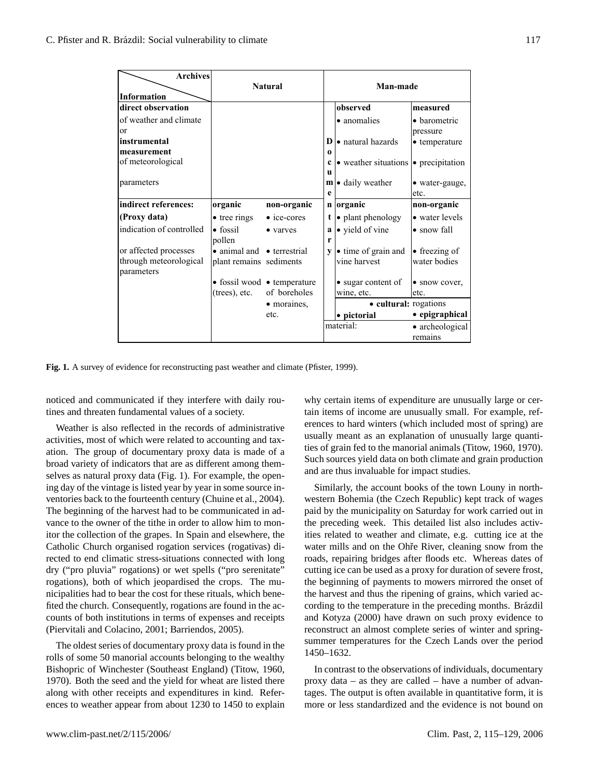| <b>Archives</b><br>Information                                | <b>Natural</b>                                        |                                             |          | Man-made                                             |                               |  |
|---------------------------------------------------------------|-------------------------------------------------------|---------------------------------------------|----------|------------------------------------------------------|-------------------------------|--|
| direct observation                                            |                                                       |                                             |          | observed                                             | measured                      |  |
| of weather and climate                                        |                                                       |                                             |          | • anomalies                                          | • barometric                  |  |
| or                                                            |                                                       |                                             |          |                                                      | pressure                      |  |
| instrumental                                                  |                                                       |                                             |          | $\bf{D}$ • natural hazards                           | $\bullet$ temperature         |  |
| measurement                                                   |                                                       |                                             | $\Omega$ |                                                      |                               |  |
| of meteorological                                             |                                                       |                                             | u        | $\bullet$ weather situations $\bullet$ precipitation |                               |  |
| parameters                                                    |                                                       |                                             | e        | $\mathbf{m}$ • daily weather                         | · water-gauge,<br>etc.        |  |
| indirect references:                                          | organic                                               | non-organic                                 |          | n organic                                            | non-organic                   |  |
| (Proxy data)                                                  | $\bullet$ tree rings                                  | $\bullet$ ice-cores                         |          | $t \rightarrow$ plant phenology                      | • water levels                |  |
| indication of controlled                                      | $\bullet$ fossil<br>pollen                            | • varves                                    | r        | $a \cdot$ yield of vine                              | • snow fall                   |  |
| or affected processes<br>through meteorological<br>parameters | • animal and • terrestrial<br>plant remains sediments |                                             | V        | • time of grain and<br>vine harvest                  | • freezing of<br>water bodies |  |
|                                                               |                                                       | $\bullet$ fossil wood $\bullet$ temperature |          | • sugar content of                                   | • snow cover,                 |  |
|                                                               | $(trees)$ , etc.                                      | of boreholes                                |          | wine, etc.                                           | etc.                          |  |
|                                                               |                                                       | • moraines,                                 |          | • cultural: rogations                                |                               |  |
|                                                               |                                                       | etc.                                        |          | • pictorial                                          | • epigraphical                |  |
|                                                               |                                                       |                                             |          | material:<br>• archeological                         |                               |  |
|                                                               |                                                       |                                             |          |                                                      | remains                       |  |

**Fig. 1.** A survey of evidence for reconstructing past weather and climate (Pfister, 1999).

noticed and communicated if they interfere with daily routines and threaten fundamental values of a society.

Weather is also reflected in the records of administrative activities, most of which were related to accounting and taxation. The group of documentary proxy data is made of a broad variety of indicators that are as different among themselves as natural proxy data (Fig. 1). For example, the opening day of the vintage is listed year by year in some source inventories back to the fourteenth century (Chuine et al., 2004). The beginning of the harvest had to be communicated in advance to the owner of the tithe in order to allow him to monitor the collection of the grapes. In Spain and elsewhere, the Catholic Church organised rogation services (rogativas) directed to end climatic stress-situations connected with long dry ("pro pluvia" rogations) or wet spells ("pro serenitate" rogations), both of which jeopardised the crops. The municipalities had to bear the cost for these rituals, which benefited the church. Consequently, rogations are found in the accounts of both institutions in terms of expenses and receipts (Piervitali and Colacino, 2001; Barriendos, 2005).

The oldest series of documentary proxy data is found in the rolls of some 50 manorial accounts belonging to the wealthy Bishopric of Winchester (Southeast England) (Titow, 1960, 1970). Both the seed and the yield for wheat are listed there along with other receipts and expenditures in kind. References to weather appear from about 1230 to 1450 to explain why certain items of expenditure are unusually large or certain items of income are unusually small. For example, references to hard winters (which included most of spring) are usually meant as an explanation of unusually large quantities of grain fed to the manorial animals (Titow, 1960, 1970). Such sources yield data on both climate and grain production and are thus invaluable for impact studies.

Similarly, the account books of the town Louny in northwestern Bohemia (the Czech Republic) kept track of wages paid by the municipality on Saturday for work carried out in the preceding week. This detailed list also includes activities related to weather and climate, e.g. cutting ice at the water mills and on the Ohře River, cleaning snow from the roads, repairing bridges after floods etc. Whereas dates of cutting ice can be used as a proxy for duration of severe frost, the beginning of payments to mowers mirrored the onset of the harvest and thus the ripening of grains, which varied according to the temperature in the preceding months. Brázdil and Kotyza (2000) have drawn on such proxy evidence to reconstruct an almost complete series of winter and springsummer temperatures for the Czech Lands over the period 1450–1632.

In contrast to the observations of individuals, documentary proxy data – as they are called – have a number of advantages. The output is often available in quantitative form, it is more or less standardized and the evidence is not bound on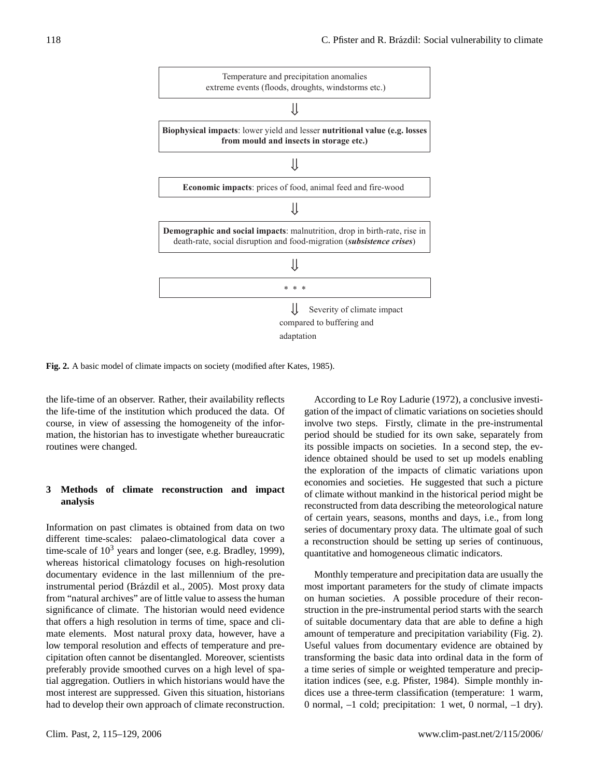

**Fig. 2.** A basic model of climate impacts on society (modified after Kates, 1985).

the life-time of an observer. Rather, their availability reflects the life-time of the institution which produced the data. Of course, in view of assessing the homogeneity of the information, the historian has to investigate whether bureaucratic routines were changed.

## **3 Methods of climate reconstruction and impact analysis**

Information on past climates is obtained from data on two different time-scales: palaeo-climatological data cover a time-scale of  $10<sup>3</sup>$  years and longer (see, e.g. Bradley, 1999), whereas historical climatology focuses on high-resolution documentary evidence in the last millennium of the preinstrumental period (Brázdil et al., 2005). Most proxy data from "natural archives" are of little value to assess the human significance of climate. The historian would need evidence that offers a high resolution in terms of time, space and climate elements. Most natural proxy data, however, have a low temporal resolution and effects of temperature and precipitation often cannot be disentangled. Moreover, scientists preferably provide smoothed curves on a high level of spatial aggregation. Outliers in which historians would have the most interest are suppressed. Given this situation, historians had to develop their own approach of climate reconstruction.

According to Le Roy Ladurie (1972), a conclusive investigation of the impact of climatic variations on societies should involve two steps. Firstly, climate in the pre-instrumental period should be studied for its own sake, separately from its possible impacts on societies. In a second step, the evidence obtained should be used to set up models enabling the exploration of the impacts of climatic variations upon economies and societies. He suggested that such a picture of climate without mankind in the historical period might be reconstructed from data describing the meteorological nature of certain years, seasons, months and days, i.e., from long series of documentary proxy data. The ultimate goal of such a reconstruction should be setting up series of continuous, quantitative and homogeneous climatic indicators.

Monthly temperature and precipitation data are usually the most important parameters for the study of climate impacts on human societies. A possible procedure of their reconstruction in the pre-instrumental period starts with the search of suitable documentary data that are able to define a high amount of temperature and precipitation variability (Fig. 2). Useful values from documentary evidence are obtained by transforming the basic data into ordinal data in the form of a time series of simple or weighted temperature and precipitation indices (see, e.g. Pfister, 1984). Simple monthly indices use a three-term classification (temperature: 1 warm, 0 normal, –1 cold; precipitation: 1 wet, 0 normal, –1 dry).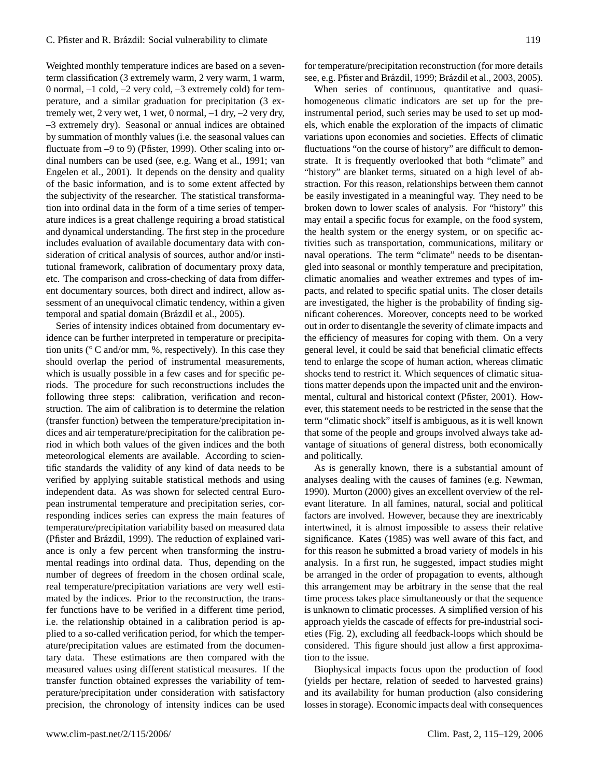Weighted monthly temperature indices are based on a seventerm classification (3 extremely warm, 2 very warm, 1 warm, 0 normal, –1 cold, –2 very cold, –3 extremely cold) for temperature, and a similar graduation for precipitation (3 extremely wet, 2 very wet, 1 wet, 0 normal,  $-1$  dry,  $-2$  very dry, –3 extremely dry). Seasonal or annual indices are obtained by summation of monthly values (i.e. the seasonal values can fluctuate from –9 to 9) (Pfister, 1999). Other scaling into ordinal numbers can be used (see, e.g. Wang et al., 1991; van Engelen et al., 2001). It depends on the density and quality of the basic information, and is to some extent affected by the subjectivity of the researcher. The statistical transformation into ordinal data in the form of a time series of temperature indices is a great challenge requiring a broad statistical and dynamical understanding. The first step in the procedure includes evaluation of available documentary data with consideration of critical analysis of sources, author and/or institutional framework, calibration of documentary proxy data, etc. The comparison and cross-checking of data from different documentary sources, both direct and indirect, allow assessment of an unequivocal climatic tendency, within a given temporal and spatial domain (Brázdil et al., 2005).

Series of intensity indices obtained from documentary evidence can be further interpreted in temperature or precipitation units (◦ C and/or mm, %, respectively). In this case they should overlap the period of instrumental measurements, which is usually possible in a few cases and for specific periods. The procedure for such reconstructions includes the following three steps: calibration, verification and reconstruction. The aim of calibration is to determine the relation (transfer function) between the temperature/precipitation indices and air temperature/precipitation for the calibration period in which both values of the given indices and the both meteorological elements are available. According to scientific standards the validity of any kind of data needs to be verified by applying suitable statistical methods and using independent data. As was shown for selected central European instrumental temperature and precipitation series, corresponding indices series can express the main features of temperature/precipitation variability based on measured data (Pfister and Brázdil, 1999). The reduction of explained variance is only a few percent when transforming the instrumental readings into ordinal data. Thus, depending on the number of degrees of freedom in the chosen ordinal scale, real temperature/precipitation variations are very well estimated by the indices. Prior to the reconstruction, the transfer functions have to be verified in a different time period, i.e. the relationship obtained in a calibration period is applied to a so-called verification period, for which the temperature/precipitation values are estimated from the documentary data. These estimations are then compared with the measured values using different statistical measures. If the transfer function obtained expresses the variability of temperature/precipitation under consideration with satisfactory precision, the chronology of intensity indices can be used

for temperature/precipitation reconstruction (for more details see, e.g. Pfister and Brázdil, 1999; Brázdil et al., 2003, 2005).

When series of continuous, quantitative and quasihomogeneous climatic indicators are set up for the preinstrumental period, such series may be used to set up models, which enable the exploration of the impacts of climatic variations upon economies and societies. Effects of climatic fluctuations "on the course of history" are difficult to demonstrate. It is frequently overlooked that both "climate" and "history" are blanket terms, situated on a high level of abstraction. For this reason, relationships between them cannot be easily investigated in a meaningful way. They need to be broken down to lower scales of analysis. For "history" this may entail a specific focus for example, on the food system, the health system or the energy system, or on specific activities such as transportation, communications, military or naval operations. The term "climate" needs to be disentangled into seasonal or monthly temperature and precipitation, climatic anomalies and weather extremes and types of impacts, and related to specific spatial units. The closer details are investigated, the higher is the probability of finding significant coherences. Moreover, concepts need to be worked out in order to disentangle the severity of climate impacts and the efficiency of measures for coping with them. On a very general level, it could be said that beneficial climatic effects tend to enlarge the scope of human action, whereas climatic shocks tend to restrict it. Which sequences of climatic situations matter depends upon the impacted unit and the environmental, cultural and historical context (Pfister, 2001). However, this statement needs to be restricted in the sense that the term "climatic shock" itself is ambiguous, as it is well known that some of the people and groups involved always take advantage of situations of general distress, both economically and politically.

As is generally known, there is a substantial amount of analyses dealing with the causes of famines (e.g. Newman, 1990). Murton (2000) gives an excellent overview of the relevant literature. In all famines, natural, social and political factors are involved. However, because they are inextricably intertwined, it is almost impossible to assess their relative significance. Kates (1985) was well aware of this fact, and for this reason he submitted a broad variety of models in his analysis. In a first run, he suggested, impact studies might be arranged in the order of propagation to events, although this arrangement may be arbitrary in the sense that the real time process takes place simultaneously or that the sequence is unknown to climatic processes. A simplified version of his approach yields the cascade of effects for pre-industrial societies (Fig. 2), excluding all feedback-loops which should be considered. This figure should just allow a first approximation to the issue.

Biophysical impacts focus upon the production of food (yields per hectare, relation of seeded to harvested grains) and its availability for human production (also considering losses in storage). Economic impacts deal with consequences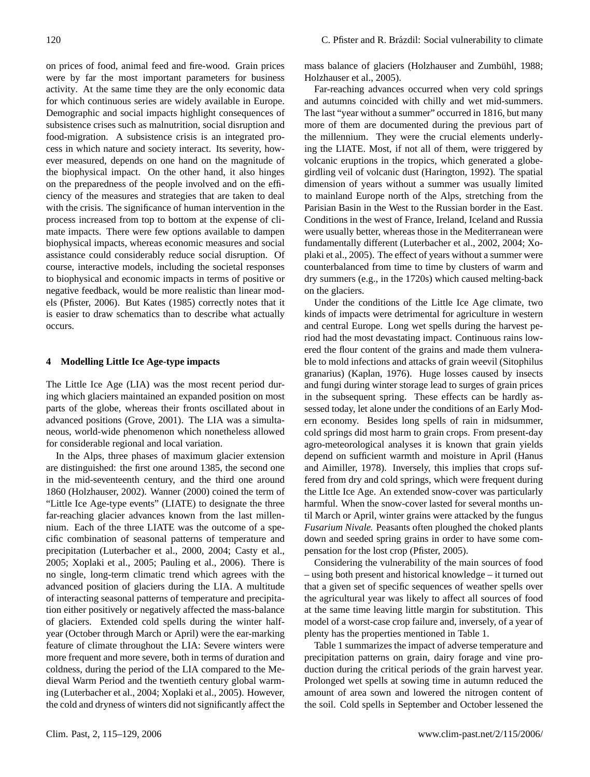on prices of food, animal feed and fire-wood. Grain prices were by far the most important parameters for business activity. At the same time they are the only economic data for which continuous series are widely available in Europe. Demographic and social impacts highlight consequences of subsistence crises such as malnutrition, social disruption and food-migration. A subsistence crisis is an integrated process in which nature and society interact. Its severity, however measured, depends on one hand on the magnitude of the biophysical impact. On the other hand, it also hinges on the preparedness of the people involved and on the efficiency of the measures and strategies that are taken to deal with the crisis. The significance of human intervention in the process increased from top to bottom at the expense of climate impacts. There were few options available to dampen biophysical impacts, whereas economic measures and social assistance could considerably reduce social disruption. Of course, interactive models, including the societal responses to biophysical and economic impacts in terms of positive or negative feedback, would be more realistic than linear models (Pfister, 2006). But Kates (1985) correctly notes that it is easier to draw schematics than to describe what actually occurs.

#### **4 Modelling Little Ice Age-type impacts**

The Little Ice Age (LIA) was the most recent period during which glaciers maintained an expanded position on most parts of the globe, whereas their fronts oscillated about in advanced positions (Grove, 2001). The LIA was a simultaneous, world-wide phenomenon which nonetheless allowed for considerable regional and local variation.

In the Alps, three phases of maximum glacier extension are distinguished: the first one around 1385, the second one in the mid-seventeenth century, and the third one around 1860 (Holzhauser, 2002). Wanner (2000) coined the term of "Little Ice Age-type events" (LIATE) to designate the three far-reaching glacier advances known from the last millennium. Each of the three LIATE was the outcome of a specific combination of seasonal patterns of temperature and precipitation (Luterbacher et al., 2000, 2004; Casty et al., 2005; Xoplaki et al., 2005; Pauling et al., 2006). There is no single, long-term climatic trend which agrees with the advanced position of glaciers during the LIA. A multitude of interacting seasonal patterns of temperature and precipitation either positively or negatively affected the mass-balance of glaciers. Extended cold spells during the winter halfyear (October through March or April) were the ear-marking feature of climate throughout the LIA: Severe winters were more frequent and more severe, both in terms of duration and coldness, during the period of the LIA compared to the Medieval Warm Period and the twentieth century global warming (Luterbacher et al., 2004; Xoplaki et al., 2005). However, the cold and dryness of winters did not significantly affect the mass balance of glaciers (Holzhauser and Zumbühl, 1988; Holzhauser et al., 2005).

Far-reaching advances occurred when very cold springs and autumns coincided with chilly and wet mid-summers. The last "year without a summer" occurred in 1816, but many more of them are documented during the previous part of the millennium. They were the crucial elements underlying the LIATE. Most, if not all of them, were triggered by volcanic eruptions in the tropics, which generated a globegirdling veil of volcanic dust (Harington, 1992). The spatial dimension of years without a summer was usually limited to mainland Europe north of the Alps, stretching from the Parisian Basin in the West to the Russian border in the East. Conditions in the west of France, Ireland, Iceland and Russia were usually better, whereas those in the Mediterranean were fundamentally different (Luterbacher et al., 2002, 2004; Xoplaki et al., 2005). The effect of years without a summer were counterbalanced from time to time by clusters of warm and dry summers (e.g., in the 1720s) which caused melting-back on the glaciers.

Under the conditions of the Little Ice Age climate, two kinds of impacts were detrimental for agriculture in western and central Europe. Long wet spells during the harvest period had the most devastating impact. Continuous rains lowered the flour content of the grains and made them vulnerable to mold infections and attacks of grain weevil (Sitophilus granarius) (Kaplan, 1976). Huge losses caused by insects and fungi during winter storage lead to surges of grain prices in the subsequent spring. These effects can be hardly assessed today, let alone under the conditions of an Early Modern economy. Besides long spells of rain in midsummer, cold springs did most harm to grain crops. From present-day agro-meteorological analyses it is known that grain yields depend on sufficient warmth and moisture in April (Hanus and Aimiller, 1978). Inversely, this implies that crops suffered from dry and cold springs, which were frequent during the Little Ice Age. An extended snow-cover was particularly harmful. When the snow-cover lasted for several months until March or April, winter grains were attacked by the fungus *Fusarium Nivale.* Peasants often ploughed the choked plants down and seeded spring grains in order to have some compensation for the lost crop (Pfister, 2005).

Considering the vulnerability of the main sources of food – using both present and historical knowledge – it turned out that a given set of specific sequences of weather spells over the agricultural year was likely to affect all sources of food at the same time leaving little margin for substitution. This model of a worst-case crop failure and, inversely, of a year of plenty has the properties mentioned in Table 1.

Table 1 summarizes the impact of adverse temperature and precipitation patterns on grain, dairy forage and vine production during the critical periods of the grain harvest year. Prolonged wet spells at sowing time in autumn reduced the amount of area sown and lowered the nitrogen content of the soil. Cold spells in September and October lessened the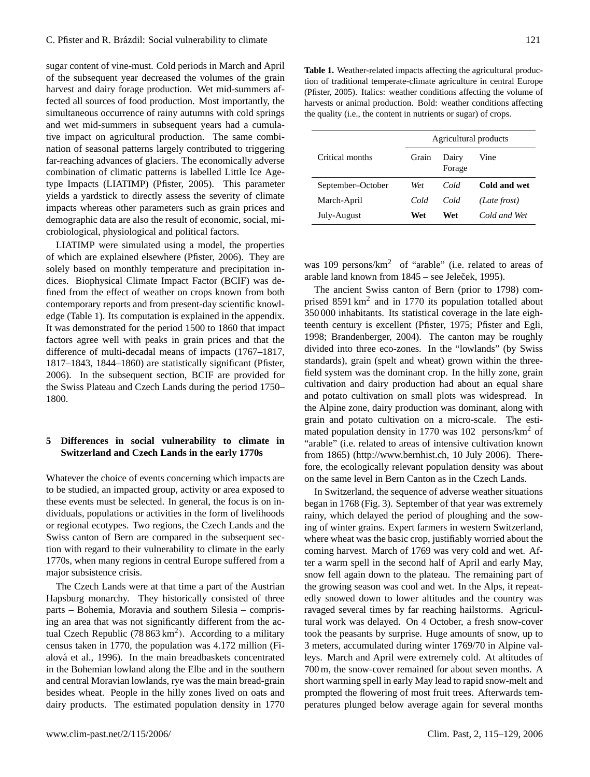sugar content of vine-must. Cold periods in March and April of the subsequent year decreased the volumes of the grain harvest and dairy forage production. Wet mid-summers affected all sources of food production. Most importantly, the simultaneous occurrence of rainy autumns with cold springs and wet mid-summers in subsequent years had a cumulative impact on agricultural production. The same combination of seasonal patterns largely contributed to triggering far-reaching advances of glaciers. The economically adverse combination of climatic patterns is labelled Little Ice Agetype Impacts (LIATIMP) (Pfister, 2005). This parameter yields a yardstick to directly assess the severity of climate impacts whereas other parameters such as grain prices and demographic data are also the result of economic, social, microbiological, physiological and political factors.

LIATIMP were simulated using a model, the properties of which are explained elsewhere (Pfister, 2006). They are solely based on monthly temperature and precipitation indices. Biophysical Climate Impact Factor (BCIF) was defined from the effect of weather on crops known from both contemporary reports and from present-day scientific knowledge (Table 1). Its computation is explained in the appendix. It was demonstrated for the period 1500 to 1860 that impact factors agree well with peaks in grain prices and that the difference of multi-decadal means of impacts (1767–1817, 1817–1843, 1844–1860) are statistically significant (Pfister, 2006). In the subsequent section, BCIF are provided for the Swiss Plateau and Czech Lands during the period 1750– 1800.

# **5 Differences in social vulnerability to climate in Switzerland and Czech Lands in the early 1770s**

Whatever the choice of events concerning which impacts are to be studied, an impacted group, activity or area exposed to these events must be selected. In general, the focus is on individuals, populations or activities in the form of livelihoods or regional ecotypes. Two regions, the Czech Lands and the Swiss canton of Bern are compared in the subsequent section with regard to their vulnerability to climate in the early 1770s, when many regions in central Europe suffered from a major subsistence crisis.

The Czech Lands were at that time a part of the Austrian Hapsburg monarchy. They historically consisted of three parts – Bohemia, Moravia and southern Silesia – comprising an area that was not significantly different from the actual Czech Republic  $(78863 \text{ km}^2)$ . According to a military census taken in 1770, the population was 4.172 million (Fialová et al., 1996). In the main breadbaskets concentrated in the Bohemian lowland along the Elbe and in the southern and central Moravian lowlands, rye was the main bread-grain besides wheat. People in the hilly zones lived on oats and dairy products. The estimated population density in 1770

**Table 1.** Weather-related impacts affecting the agricultural production of traditional temperate-climate agriculture in central Europe (Pfister, 2005). Italics: weather conditions affecting the volume of harvests or animal production. Bold: weather conditions affecting the quality (i.e., the content in nutrients or sugar) of crops.

|                   | Agricultural products |                 |              |  |  |
|-------------------|-----------------------|-----------------|--------------|--|--|
| Critical months   | Grain                 | Dairy<br>Forage | Vine         |  |  |
| September-October | Wet                   | Cold            | Cold and wet |  |  |
| March-April       | Cold                  | Cold            | (Late frost) |  |  |
| July-August       | Wet                   | Wet             | Cold and Wet |  |  |

was 109 persons/km<sup>2</sup> of "arable" (i.e. related to areas of arable land known from  $1845$  – see Jeleček, 1995).

The ancient Swiss canton of Bern (prior to 1798) comprised  $8591 \text{ km}^2$  and in 1770 its population totalled about 350 000 inhabitants. Its statistical coverage in the late eighteenth century is excellent (Pfister, 1975; Pfister and Egli, 1998; Brandenberger, 2004). The canton may be roughly divided into three eco-zones. In the "lowlands" (by Swiss standards), grain (spelt and wheat) grown within the threefield system was the dominant crop. In the hilly zone, grain cultivation and dairy production had about an equal share and potato cultivation on small plots was widespread. In the Alpine zone, dairy production was dominant, along with grain and potato cultivation on a micro-scale. The estimated population density in 1770 was  $102$  persons/km<sup>2</sup> of "arable" (i.e. related to areas of intensive cultivation known from 1865) [\(http://www.bernhist.ch,](http://www.bernhist.ch) 10 July 2006). Therefore, the ecologically relevant population density was about on the same level in Bern Canton as in the Czech Lands.

In Switzerland, the sequence of adverse weather situations began in 1768 (Fig. 3). September of that year was extremely rainy, which delayed the period of ploughing and the sowing of winter grains. Expert farmers in western Switzerland, where wheat was the basic crop, justifiably worried about the coming harvest. March of 1769 was very cold and wet. After a warm spell in the second half of April and early May, snow fell again down to the plateau. The remaining part of the growing season was cool and wet. In the Alps, it repeatedly snowed down to lower altitudes and the country was ravaged several times by far reaching hailstorms. Agricultural work was delayed. On 4 October, a fresh snow-cover took the peasants by surprise. Huge amounts of snow, up to 3 meters, accumulated during winter 1769/70 in Alpine valleys. March and April were extremely cold. At altitudes of 700 m, the snow-cover remained for about seven months. A short warming spell in early May lead to rapid snow-melt and prompted the flowering of most fruit trees. Afterwards temperatures plunged below average again for several months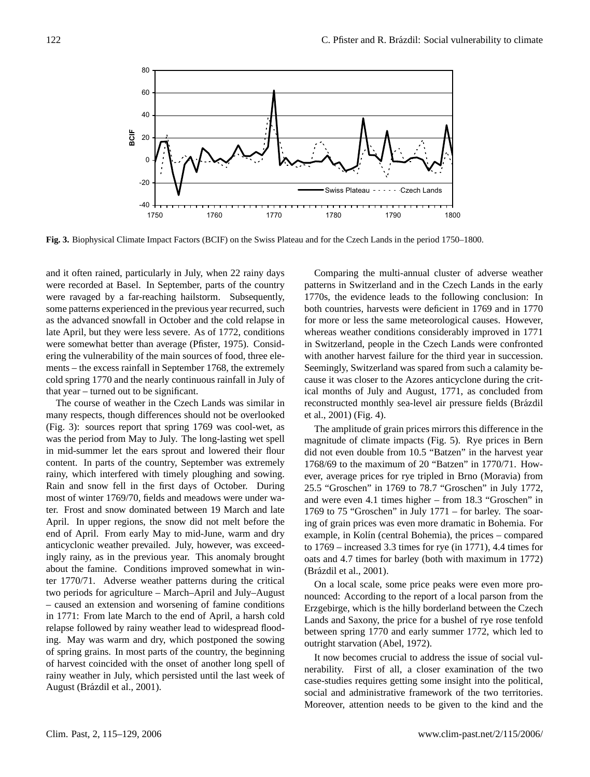

**Fig. 3.** Biophysical Climate Impact Factors (BCIF) on the Swiss Plateau and for the Czech Lands in the period 1750–1800.

and it often rained, particularly in July, when 22 rainy days were recorded at Basel. In September, parts of the country were ravaged by a far-reaching hailstorm. Subsequently, some patterns experienced in the previous year recurred, such as the advanced snowfall in October and the cold relapse in late April, but they were less severe. As of 1772, conditions were somewhat better than average (Pfister, 1975). Considering the vulnerability of the main sources of food, three elements – the excess rainfall in September 1768, the extremely cold spring 1770 and the nearly continuous rainfall in July of that year – turned out to be significant.

The course of weather in the Czech Lands was similar in many respects, though differences should not be overlooked (Fig. 3): sources report that spring 1769 was cool-wet, as was the period from May to July. The long-lasting wet spell in mid-summer let the ears sprout and lowered their flour content. In parts of the country, September was extremely rainy, which interfered with timely ploughing and sowing. Rain and snow fell in the first days of October. During most of winter 1769/70, fields and meadows were under water. Frost and snow dominated between 19 March and late April. In upper regions, the snow did not melt before the end of April. From early May to mid-June, warm and dry anticyclonic weather prevailed. July, however, was exceedingly rainy, as in the previous year. This anomaly brought about the famine. Conditions improved somewhat in winter 1770/71. Adverse weather patterns during the critical two periods for agriculture – March–April and July–August – caused an extension and worsening of famine conditions in 1771: From late March to the end of April, a harsh cold relapse followed by rainy weather lead to widespread flooding. May was warm and dry, which postponed the sowing of spring grains. In most parts of the country, the beginning of harvest coincided with the onset of another long spell of rainy weather in July, which persisted until the last week of August (Brázdil et al., 2001).

Comparing the multi-annual cluster of adverse weather patterns in Switzerland and in the Czech Lands in the early 1770s, the evidence leads to the following conclusion: In both countries, harvests were deficient in 1769 and in 1770 for more or less the same meteorological causes. However, whereas weather conditions considerably improved in 1771 in Switzerland, people in the Czech Lands were confronted with another harvest failure for the third year in succession. Seemingly, Switzerland was spared from such a calamity because it was closer to the Azores anticyclone during the critical months of July and August, 1771, as concluded from reconstructed monthly sea-level air pressure fields (Brázdil et al., 2001) (Fig. 4).

The amplitude of grain prices mirrors this difference in the magnitude of climate impacts (Fig. 5). Rye prices in Bern did not even double from 10.5 "Batzen" in the harvest year 1768/69 to the maximum of 20 "Batzen" in 1770/71. However, average prices for rye tripled in Brno (Moravia) from 25.5 "Groschen" in 1769 to 78.7 "Groschen" in July 1772, and were even 4.1 times higher – from 18.3 "Groschen" in 1769 to 75 "Groschen" in July 1771 – for barley. The soaring of grain prices was even more dramatic in Bohemia. For example, in Kolín (central Bohemia), the prices – compared to 1769 – increased 3.3 times for rye (in 1771), 4.4 times for oats and 4.7 times for barley (both with maximum in 1772) (Brázdil et al., 2001).

On a local scale, some price peaks were even more pronounced: According to the report of a local parson from the Erzgebirge, which is the hilly borderland between the Czech Lands and Saxony, the price for a bushel of rye rose tenfold between spring 1770 and early summer 1772, which led to outright starvation (Abel, 1972).

It now becomes crucial to address the issue of social vulnerability. First of all, a closer examination of the two case-studies requires getting some insight into the political, social and administrative framework of the two territories. Moreover, attention needs to be given to the kind and the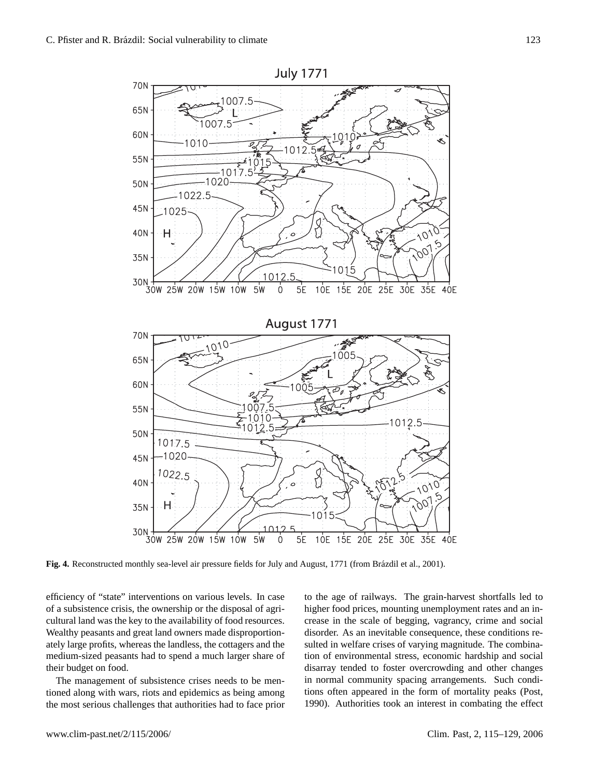

Fig. 4. Reconstructed monthly sea-level air pressure fields for July and August, 1771 (from Brázdil et al., 2001).

efficiency of "state" interventions on various levels. In case of a subsistence crisis, the ownership or the disposal of agricultural land was the key to the availability of food resources. Wealthy peasants and great land owners made disproportionately large profits, whereas the landless, the cottagers and the medium-sized peasants had to spend a much larger share of their budget on food.

The management of subsistence crises needs to be mentioned along with wars, riots and epidemics as being among the most serious challenges that authorities had to face prior to the age of railways. The grain-harvest shortfalls led to higher food prices, mounting unemployment rates and an increase in the scale of begging, vagrancy, crime and social disorder. As an inevitable consequence, these conditions resulted in welfare crises of varying magnitude. The combination of environmental stress, economic hardship and social disarray tended to foster overcrowding and other changes in normal community spacing arrangements. Such conditions often appeared in the form of mortality peaks (Post, 1990). Authorities took an interest in combating the effect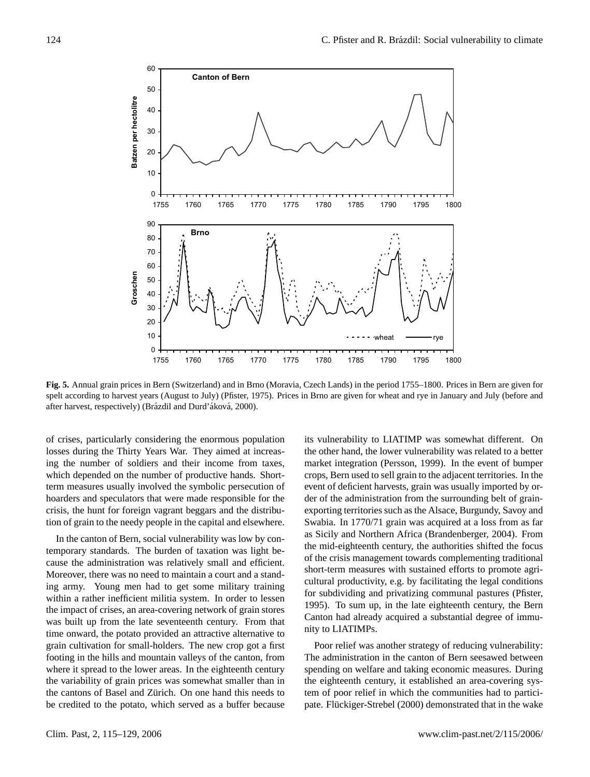

**Fig. 5.** Annual grain prices in Bern (Switzerland) and in Brno (Moravia, Czech Lands) in the period 1755–1800. Prices in Bern are given for spelt according to harvest years (August to July) (Pfister, 1975). Prices in Brno are given for wheat and rye in January and July (before and after harvest, respectively) (Brázdil and Durd' áková, 2000).

of crises, particularly considering the enormous population losses during the Thirty Years War. They aimed at increasing the number of soldiers and their income from taxes, which depended on the number of productive hands. Shortterm measures usually involved the symbolic persecution of hoarders and speculators that were made responsible for the crisis, the hunt for foreign vagrant beggars and the distribution of grain to the needy people in the capital and elsewhere.

In the canton of Bern, social vulnerability was low by contemporary standards. The burden of taxation was light because the administration was relatively small and efficient. Moreover, there was no need to maintain a court and a standing army. Young men had to get some military training within a rather inefficient militia system. In order to lessen the impact of crises, an area-covering network of grain stores was built up from the late seventeenth century. From that time onward, the potato provided an attractive alternative to grain cultivation for small-holders. The new crop got a first footing in the hills and mountain valleys of the canton, from where it spread to the lower areas. In the eighteenth century the variability of grain prices was somewhat smaller than in the cantons of Basel and Zürich. On one hand this needs to be credited to the potato, which served as a buffer because its vulnerability to LIATIMP was somewhat different. On the other hand, the lower vulnerability was related to a better market integration (Persson, 1999). In the event of bumper crops, Bern used to sell grain to the adjacent territories. In the event of deficient harvests, grain was usually imported by order of the administration from the surrounding belt of grainexporting territories such as the Alsace, Burgundy, Savoy and Swabia. In 1770/71 grain was acquired at a loss from as far as Sicily and Northern Africa (Brandenberger, 2004). From the mid-eighteenth century, the authorities shifted the focus of the crisis management towards complementing traditional short-term measures with sustained efforts to promote agricultural productivity, e.g. by facilitating the legal conditions for subdividing and privatizing communal pastures (Pfister, 1995). To sum up, in the late eighteenth century, the Bern Canton had already acquired a substantial degree of immunity to LIATIMPs.

Poor relief was another strategy of reducing vulnerability: The administration in the canton of Bern seesawed between spending on welfare and taking economic measures. During the eighteenth century, it established an area-covering system of poor relief in which the communities had to participate. Flückiger-Strebel (2000) demonstrated that in the wake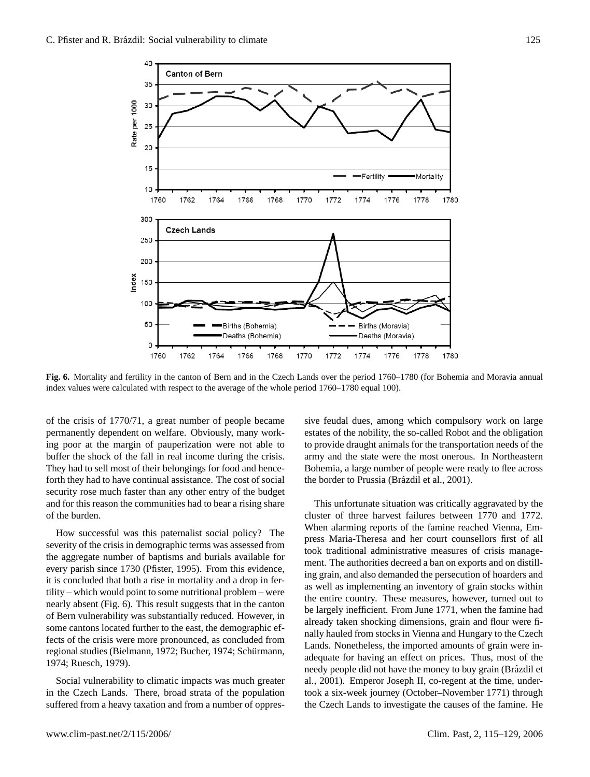

**Fig. 6.** Mortality and fertility in the canton of Bern and in the Czech Lands over the period 1760–1780 (for Bohemia and Moravia annual index values were calculated with respect to the average of the whole period 1760–1780 equal 100).

of the crisis of 1770/71, a great number of people became permanently dependent on welfare. Obviously, many working poor at the margin of pauperization were not able to buffer the shock of the fall in real income during the crisis. They had to sell most of their belongings for food and henceforth they had to have continual assistance. The cost of social security rose much faster than any other entry of the budget and for this reason the communities had to bear a rising share of the burden.

How successful was this paternalist social policy? The severity of the crisis in demographic terms was assessed from the aggregate number of baptisms and burials available for every parish since 1730 (Pfister, 1995). From this evidence, it is concluded that both a rise in mortality and a drop in fertility – which would point to some nutritional problem – were nearly absent (Fig. 6). This result suggests that in the canton of Bern vulnerability was substantially reduced. However, in some cantons located further to the east, the demographic effects of the crisis were more pronounced, as concluded from regional studies (Bielmann, 1972; Bucher, 1974; Schürmann, 1974; Ruesch, 1979).

Social vulnerability to climatic impacts was much greater in the Czech Lands. There, broad strata of the population suffered from a heavy taxation and from a number of oppressive feudal dues, among which compulsory work on large estates of the nobility, the so-called Robot and the obligation to provide draught animals for the transportation needs of the army and the state were the most onerous. In Northeastern Bohemia, a large number of people were ready to flee across the border to Prussia (Brázdil et al., 2001).

This unfortunate situation was critically aggravated by the cluster of three harvest failures between 1770 and 1772. When alarming reports of the famine reached Vienna, Empress Maria-Theresa and her court counsellors first of all took traditional administrative measures of crisis management. The authorities decreed a ban on exports and on distilling grain, and also demanded the persecution of hoarders and as well as implementing an inventory of grain stocks within the entire country. These measures, however, turned out to be largely inefficient. From June 1771, when the famine had already taken shocking dimensions, grain and flour were finally hauled from stocks in Vienna and Hungary to the Czech Lands. Nonetheless, the imported amounts of grain were inadequate for having an effect on prices. Thus, most of the needy people did not have the money to buy grain (Brázdil et al., 2001). Emperor Joseph II, co-regent at the time, undertook a six-week journey (October–November 1771) through the Czech Lands to investigate the causes of the famine. He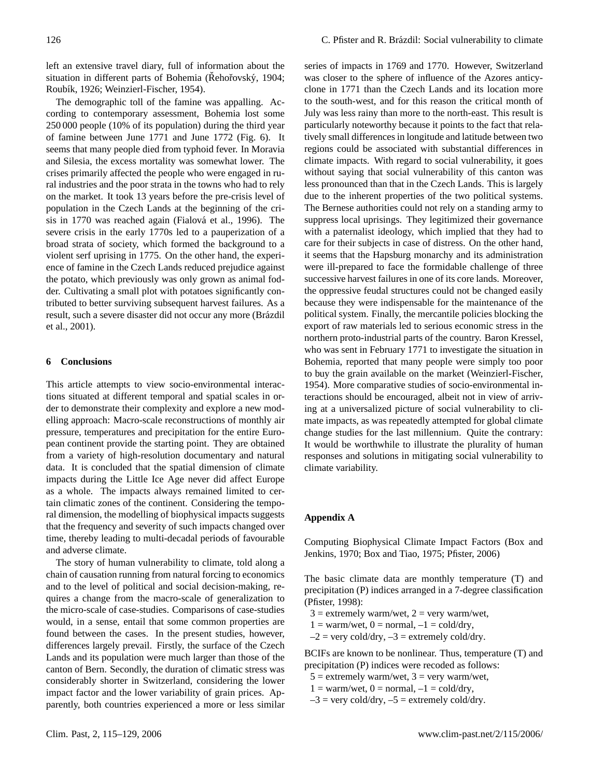left an extensive travel diary, full of information about the situation in different parts of Bohemia (Řehořovský, 1904; Roubík, 1926; Weinzierl-Fischer, 1954).

The demographic toll of the famine was appalling. According to contemporary assessment, Bohemia lost some 250 000 people (10% of its population) during the third year of famine between June 1771 and June 1772 (Fig. 6). It seems that many people died from typhoid fever. In Moravia and Silesia, the excess mortality was somewhat lower. The crises primarily affected the people who were engaged in rural industries and the poor strata in the towns who had to rely on the market. It took 13 years before the pre-crisis level of population in the Czech Lands at the beginning of the crisis in 1770 was reached again (Fialová et al., 1996). The severe crisis in the early 1770s led to a pauperization of a broad strata of society, which formed the background to a violent serf uprising in 1775. On the other hand, the experience of famine in the Czech Lands reduced prejudice against the potato, which previously was only grown as animal fodder. Cultivating a small plot with potatoes significantly contributed to better surviving subsequent harvest failures. As a result, such a severe disaster did not occur any more (Brázdil et al., 2001).

#### **6 Conclusions**

This article attempts to view socio-environmental interactions situated at different temporal and spatial scales in order to demonstrate their complexity and explore a new modelling approach: Macro-scale reconstructions of monthly air pressure, temperatures and precipitation for the entire European continent provide the starting point. They are obtained from a variety of high-resolution documentary and natural data. It is concluded that the spatial dimension of climate impacts during the Little Ice Age never did affect Europe as a whole. The impacts always remained limited to certain climatic zones of the continent. Considering the temporal dimension, the modelling of biophysical impacts suggests that the frequency and severity of such impacts changed over time, thereby leading to multi-decadal periods of favourable and adverse climate.

The story of human vulnerability to climate, told along a chain of causation running from natural forcing to economics and to the level of political and social decision-making, requires a change from the macro-scale of generalization to the micro-scale of case-studies. Comparisons of case-studies would, in a sense, entail that some common properties are found between the cases. In the present studies, however, differences largely prevail. Firstly, the surface of the Czech Lands and its population were much larger than those of the canton of Bern. Secondly, the duration of climatic stress was considerably shorter in Switzerland, considering the lower impact factor and the lower variability of grain prices. Apparently, both countries experienced a more or less similar

series of impacts in 1769 and 1770. However, Switzerland was closer to the sphere of influence of the Azores anticyclone in 1771 than the Czech Lands and its location more to the south-west, and for this reason the critical month of July was less rainy than more to the north-east. This result is particularly noteworthy because it points to the fact that relatively small differences in longitude and latitude between two regions could be associated with substantial differences in climate impacts. With regard to social vulnerability, it goes without saying that social vulnerability of this canton was less pronounced than that in the Czech Lands. This is largely due to the inherent properties of the two political systems. The Bernese authorities could not rely on a standing army to suppress local uprisings. They legitimized their governance with a paternalist ideology, which implied that they had to care for their subjects in case of distress. On the other hand, it seems that the Hapsburg monarchy and its administration were ill-prepared to face the formidable challenge of three successive harvest failures in one of its core lands. Moreover, the oppressive feudal structures could not be changed easily because they were indispensable for the maintenance of the political system. Finally, the mercantile policies blocking the export of raw materials led to serious economic stress in the northern proto-industrial parts of the country. Baron Kressel, who was sent in February 1771 to investigate the situation in Bohemia, reported that many people were simply too poor to buy the grain available on the market (Weinzierl-Fischer, 1954). More comparative studies of socio-environmental interactions should be encouraged, albeit not in view of arriving at a universalized picture of social vulnerability to climate impacts, as was repeatedly attempted for global climate change studies for the last millennium. Quite the contrary: It would be worthwhile to illustrate the plurality of human responses and solutions in mitigating social vulnerability to climate variability.

## **Appendix A**

Computing Biophysical Climate Impact Factors (Box and Jenkins, 1970; Box and Tiao, 1975; Pfister, 2006)

The basic climate data are monthly temperature (T) and precipitation (P) indices arranged in a 7-degree classification (Pfister, 1998):

- $3 =$  extremely warm/wet,  $2 =$  very warm/wet,
- $1 = \text{warm/wet}, 0 = \text{normal}, -1 = \text{cold/dry},$
- $-2$  = very cold/dry,  $-3$  = extremely cold/dry.

BCIFs are known to be nonlinear. Thus, temperature (T) and precipitation (P) indices were recoded as follows:

- $5 =$  extremely warm/wet,  $3 =$  very warm/wet,
- $1 = \text{warm/wet}, 0 = \text{normal}, -1 = \text{cold/dry},$
- $-3$  = very cold/dry,  $-5$  = extremely cold/dry.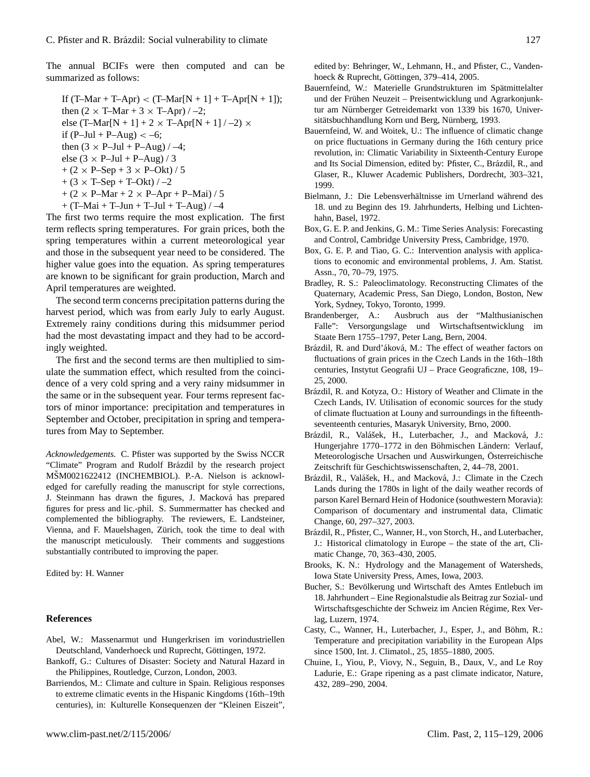The annual BCIFs were then computed and can be summarized as follows:

If  $(T-Mar + T-Apr) < (T-Mar[N + 1] + T-Apr[N + 1])$ ; then  $(2 \times T-Mar + 3 \times T-Apr)$  / -2; else (T-Mar[N + 1] + 2  $\times$  T-Apr[N + 1] / -2)  $\times$ if  $(P_{-}$ Jul +  $P_{-}$ Aug) < -6; then  $(3 \times P$ –Jul + P–Aug) / –4; else  $(3 \times P$ –Jul + P–Aug) / 3  $+ (2 \times P - Sep + 3 \times P - Okt) / 5$  $+$  (3  $\times$  T–Sep + T–Okt) / –2  $+ (2 \times P-Mar + 2 \times P-Apr + P-Mai)/5$  $+$  (T–Mai + T–Jun + T–Jul + T–Aug) / –4

The first two terms require the most explication. The first term reflects spring temperatures. For grain prices, both the spring temperatures within a current meteorological year and those in the subsequent year need to be considered. The higher value goes into the equation. As spring temperatures are known to be significant for grain production, March and April temperatures are weighted.

The second term concerns precipitation patterns during the harvest period, which was from early July to early August. Extremely rainy conditions during this midsummer period had the most devastating impact and they had to be accordingly weighted.

The first and the second terms are then multiplied to simulate the summation effect, which resulted from the coincidence of a very cold spring and a very rainy midsummer in the same or in the subsequent year. Four terms represent factors of minor importance: precipitation and temperatures in September and October, precipitation in spring and temperatures from May to September.

*Acknowledgements.* C. Pfister was supported by the Swiss NCCR "Climate" Program and Rudolf Brázdil by the research project MŠM0021622412 (INCHEMBIOL). P.-A. Nielson is acknowledged for carefully reading the manuscript for style corrections, J. Steinmann has drawn the figures, J. Macková has prepared figures for press and lic.-phil. S. Summermatter has checked and complemented the bibliography. The reviewers, E. Landsteiner, Vienna, and F. Mauelshagen, Zürich, took the time to deal with the manuscript meticulously. Their comments and suggestions substantially contributed to improving the paper.

Edited by: H. Wanner

### **References**

- Abel, W.: Massenarmut und Hungerkrisen im vorindustriellen Deutschland, Vanderhoeck und Ruprecht, Göttingen, 1972.
- Bankoff, G.: Cultures of Disaster: Society and Natural Hazard in the Philippines, Routledge, Curzon, London, 2003.
- Barriendos, M.: Climate and culture in Spain. Religious responses to extreme climatic events in the Hispanic Kingdoms (16th–19th centuries), in: Kulturelle Konsequenzen der "Kleinen Eiszeit",

edited by: Behringer, W., Lehmann, H., and Pfister, C., Vandenhoeck & Ruprecht, Göttingen, 379–414, 2005.

- Bauernfeind, W.: Materielle Grundstrukturen im Spätmittelalter und der Frühen Neuzeit – Preisentwicklung und Agrarkonjunktur am Nürnberger Getreidemarkt von 1339 bis 1670, Universitätsbuchhandlung Korn und Berg, Nürnberg, 1993.
- Bauernfeind, W. and Woitek, U.: The influence of climatic change on price fluctuations in Germany during the 16th century price revolution, in: Climatic Variability in Sixteenth-Century Europe and Its Social Dimension, edited by: Pfister, C., Brázdil, R., and Glaser, R., Kluwer Academic Publishers, Dordrecht, 303–321, 1999.
- Bielmann, J.: Die Lebensverhältnisse im Urnerland während des 18. und zu Beginn des 19. Jahrhunderts, Helbing und Lichtenhahn, Basel, 1972.
- Box, G. E. P. and Jenkins, G. M.: Time Series Analysis: Forecasting and Control, Cambridge University Press, Cambridge, 1970.
- Box, G. E. P. and Tiao, G. C.: Intervention analysis with applications to economic and environmental problems, J. Am. Statist. Assn., 70, 70–79, 1975.
- Bradley, R. S.: Paleoclimatology. Reconstructing Climates of the Quaternary, Academic Press, San Diego, London, Boston, New York, Sydney, Tokyo, Toronto, 1999.
- Brandenberger, A.: Ausbruch aus der "Malthusianischen Falle": Versorgungslage und Wirtschaftsentwicklung im Staate Bern 1755–1797, Peter Lang, Bern, 2004.
- Brázdil, R. and Durd' áková, M.: The effect of weather factors on fluctuations of grain prices in the Czech Lands in the 16th–18th centuries, Instytut Geografii UJ – Prace Geograficzne, 108, 19– 25, 2000.
- Brázdil, R. and Kotyza, O.: History of Weather and Climate in the Czech Lands, IV. Utilisation of economic sources for the study of climate fluctuation at Louny and surroundings in the fifteenthseventeenth centuries, Masaryk University, Brno, 2000.
- Brázdil, R., Valášek, H., Luterbacher, J., and Macková, J.: Hungerjahre 1770–1772 in den Böhmischen Ländern: Verlauf, Meteorologische Ursachen und Auswirkungen, Osterreichische ¨ Zeitschrift für Geschichtswissenschaften, 2, 44–78, 2001.
- Brázdil, R., Valášek, H., and Macková, J.: Climate in the Czech Lands during the 1780s in light of the daily weather records of parson Karel Bernard Hein of Hodonice (southwestern Moravia): Comparison of documentary and instrumental data, Climatic Change, 60, 297–327, 2003.
- Brázdil, R., Pfister, C., Wanner, H., von Storch, H., and Luterbacher, J.: Historical climatology in Europe – the state of the art, Climatic Change, 70, 363–430, 2005.
- Brooks, K. N.: Hydrology and the Management of Watersheds, Iowa State University Press, Ames, Iowa, 2003.
- Bucher, S.: Bevölkerung und Wirtschaft des Amtes Entlebuch im 18. Jahrhundert – Eine Regionalstudie als Beitrag zur Sozial- und Wirtschaftsgeschichte der Schweiz im Ancien Régime, Rex Verlag, Luzern, 1974.
- Casty, C., Wanner, H., Luterbacher, J., Esper, J., and Böhm, R.: Temperature and precipitation variability in the European Alps since 1500, Int. J. Climatol., 25, 1855–1880, 2005.
- Chuine, I., Yiou, P., Viovy, N., Seguin, B., Daux, V., and Le Roy Ladurie, E.: Grape ripening as a past climate indicator, Nature, 432, 289–290, 2004.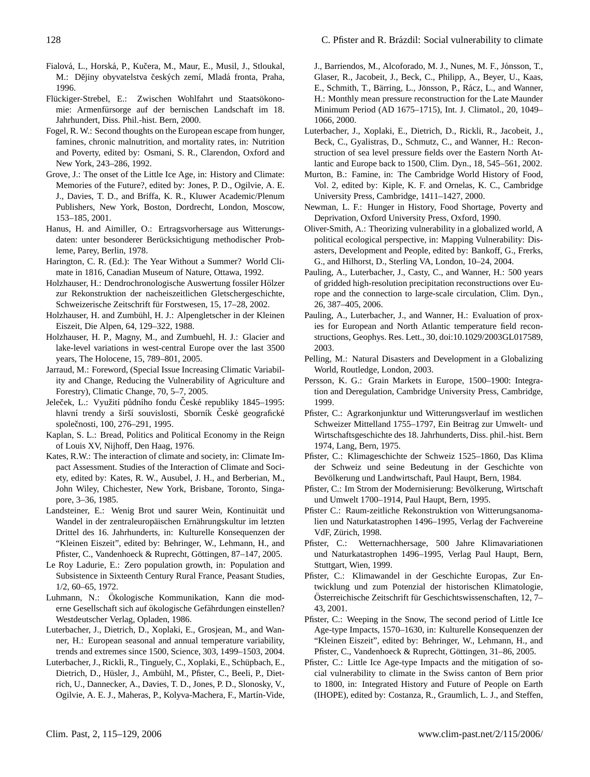- Fialová, L., Horská, P., Kučera, M., Maur, E., Musil, J., Stloukal, M.: Dějiny obyvatelstva českých zemí, Mladá fronta, Praha, 1996.
- Flückiger-Strebel, E.: Zwischen Wohlfahrt und Staatsökonomie: Armenfürsorge auf der bernischen Landschaft im 18. Jahrhundert, Diss. Phil.-hist. Bern, 2000.
- Fogel, R. W.: Second thoughts on the European escape from hunger, famines, chronic malnutrition, and mortality rates, in: Nutrition and Poverty, edited by: Osmani, S. R., Clarendon, Oxford and New York, 243–286, 1992.
- Grove, J.: The onset of the Little Ice Age, in: History and Climate: Memories of the Future?, edited by: Jones, P. D., Ogilvie, A. E. J., Davies, T. D., and Briffa, K. R., Kluwer Academic/Plenum Publishers, New York, Boston, Dordrecht, London, Moscow, 153–185, 2001.
- Hanus, H. and Aimiller, O.: Ertragsvorhersage aus Witterungsdaten: unter besonderer Berücksichtigung methodischer Probleme, Parey, Berlin, 1978.
- Harington, C. R. (Ed.): The Year Without a Summer? World Climate in 1816, Canadian Museum of Nature, Ottawa, 1992.
- Holzhauser, H.: Dendrochronologische Auswertung fossiler Holzer ¨ zur Rekonstruktion der nacheiszeitlichen Gletschergeschichte, Schweizerische Zeitschrift für Forstwesen, 15, 17–28, 2002.
- Holzhauser, H. and Zumbühl, H. J.: Alpengletscher in der Kleinen Eiszeit, Die Alpen, 64, 129–322, 1988.
- Holzhauser, H. P., Magny, M., and Zumbuehl, H. J.: Glacier and lake-level variations in west-central Europe over the last 3500 years, The Holocene, 15, 789–801, 2005.
- Jarraud, M.: Foreword, (Special Issue Increasing Climatic Variability and Change, Reducing the Vulnerability of Agriculture and Forestry), Climatic Change, 70, 5–7, 2005.
- Jeleček, L.: Využití půdního fondu České republiky 1845–1995: hlavní trendy a širší souvislosti, Sborník České geografické společnosti, 100, 276–291, 1995.
- Kaplan, S. L.: Bread, Politics and Political Economy in the Reign of Louis XV, Nijhoff, Den Haag, 1976.
- Kates, R.W.: The interaction of climate and society, in: Climate Impact Assessment. Studies of the Interaction of Climate and Society, edited by: Kates, R. W., Ausubel, J. H., and Berberian, M., John Wiley, Chichester, New York, Brisbane, Toronto, Singapore, 3–36, 1985.
- Landsteiner, E.: Wenig Brot und saurer Wein, Kontinuität und Wandel in der zentraleuropäischen Ernährungskultur im letzten Drittel des 16. Jahrhunderts, in: Kulturelle Konsequenzen der "Kleinen Eiszeit", edited by: Behringer, W., Lehmann, H., and Pfister, C., Vandenhoeck & Ruprecht, Göttingen, 87–147, 2005.
- Le Roy Ladurie, E.: Zero population growth, in: Population and Subsistence in Sixteenth Century Rural France, Peasant Studies, 1/2, 60–65, 1972.
- Luhmann, N.: Ökologische Kommunikation, Kann die moderne Gesellschaft sich auf ökologische Gefährdungen einstellen? Westdeutscher Verlag, Opladen, 1986.
- Luterbacher, J., Dietrich, D., Xoplaki, E., Grosjean, M., and Wanner, H.: European seasonal and annual temperature variability, trends and extremes since 1500, Science, 303, 1499–1503, 2004.
- Luterbacher, J., Rickli, R., Tinguely, C., Xoplaki, E., Schüpbach, E., Dietrich, D., Hüsler, J., Ambühl, M., Pfister, C., Beeli, P., Dietrich, U., Dannecker, A., Davies, T. D., Jones, P. D., Slonosky, V., Ogilvie, A. E. J., Maheras, P., Kolyva-Machera, F., Martín-Vide,

J., Barriendos, M., Alcoforado, M. J., Nunes, M. F., Jónsson, T., Glaser, R., Jacobeit, J., Beck, C., Philipp, A., Beyer, U., Kaas, E., Schmith, T., Bärring, L., Jönsson, P., Rácz, L., and Wanner, H.: Monthly mean pressure reconstruction for the Late Maunder Minimum Period (AD 1675–1715), Int. J. Climatol., 20, 1049– 1066, 2000.

- Luterbacher, J., Xoplaki, E., Dietrich, D., Rickli, R., Jacobeit, J., Beck, C., Gyalistras, D., Schmutz, C., and Wanner, H.: Reconstruction of sea level pressure fields over the Eastern North Atlantic and Europe back to 1500, Clim. Dyn., 18, 545–561, 2002.
- Murton, B.: Famine, in: The Cambridge World History of Food, Vol. 2, edited by: Kiple, K. F. and Ornelas, K. C., Cambridge University Press, Cambridge, 1411–1427, 2000.
- Newman, L. F.: Hunger in History, Food Shortage, Poverty and Deprivation, Oxford University Press, Oxford, 1990.
- Oliver-Smith, A.: Theorizing vulnerability in a globalized world, A political ecological perspective, in: Mapping Vulnerability: Disasters, Development and People, edited by: Bankoff, G., Frerks, G., and Hilhorst, D., Sterling VA, London, 10–24, 2004.
- Pauling, A., Luterbacher, J., Casty, C., and Wanner, H.: 500 years of gridded high-resolution precipitation reconstructions over Europe and the connection to large-scale circulation, Clim. Dyn., 26, 387–405, 2006.
- Pauling, A., Luterbacher, J., and Wanner, H.: Evaluation of proxies for European and North Atlantic temperature field reconstructions, Geophys. Res. Lett., 30, doi:10.1029/2003GL017589, 2003.
- Pelling, M.: Natural Disasters and Development in a Globalizing World, Routledge, London, 2003.
- Persson, K. G.: Grain Markets in Europe, 1500–1900: Integration and Deregulation, Cambridge University Press, Cambridge, 1999.
- Pfister, C.: Agrarkonjunktur und Witterungsverlauf im westlichen Schweizer Mittelland 1755–1797, Ein Beitrag zur Umwelt- und Wirtschaftsgeschichte des 18. Jahrhunderts, Diss. phil.-hist. Bern 1974, Lang, Bern, 1975.
- Pfister, C.: Klimageschichte der Schweiz 1525–1860, Das Klima der Schweiz und seine Bedeutung in der Geschichte von Bevölkerung und Landwirtschaft, Paul Haupt, Bern, 1984.
- Pfister, C.: Im Strom der Modernisierung: Bevölkerung, Wirtschaft und Umwelt 1700–1914, Paul Haupt, Bern, 1995.
- Pfister C.: Raum-zeitliche Rekonstruktion von Witterungsanomalien und Naturkatastrophen 1496–1995, Verlag der Fachvereine VdF, Zürich, 1998.
- Pfister, C.: Wetternachhersage, 500 Jahre Klimavariationen und Naturkatastrophen 1496–1995, Verlag Paul Haupt, Bern, Stuttgart, Wien, 1999.
- Pfister, C.: Klimawandel in der Geschichte Europas, Zur Entwicklung und zum Potenzial der historischen Klimatologie, Österreichische Zeitschrift für Geschichtswissenschaften, 12, 7-43, 2001.
- Pfister, C.: Weeping in the Snow, The second period of Little Ice Age-type Impacts, 1570–1630, in: Kulturelle Konsequenzen der "Kleinen Eiszeit", edited by: Behringer, W., Lehmann, H., and Pfister, C., Vandenhoeck & Ruprecht, Göttingen, 31–86, 2005.
- Pfister, C.: Little Ice Age-type Impacts and the mitigation of social vulnerability to climate in the Swiss canton of Bern prior to 1800, in: Integrated History and Future of People on Earth (IHOPE), edited by: Costanza, R., Graumlich, L. J., and Steffen,